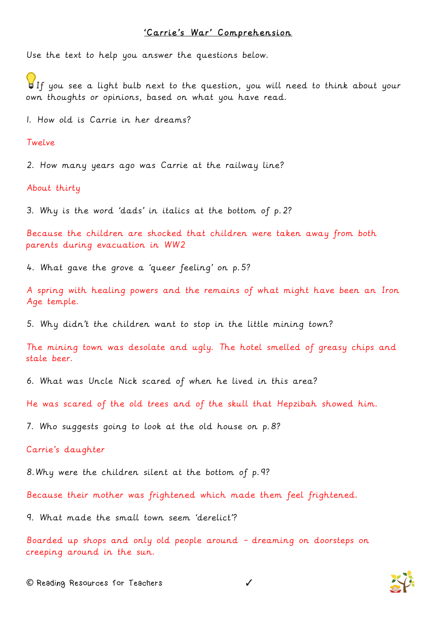## 'Carrie's War' Comprehension

Use the text to help you answer the questions below.

If you see a light bulb next to the question, you will need to think about your own thoughts or opinions, based on what you have read.

1. How old is Carrie in her dreams?

Twelve

2. How many years ago was Carrie at the railway line?

About thirty

3. Why is the word 'dads' in italics at the bottom of p.2?

Because the children are shocked that children were taken away from both parents during evacuation in WW2

4. What gave the grove a 'queer feeling' on p.5?

A spring with healing powers and the remains of what might have been an Iron Age temple.

5. Why didn't the children want to stop in the little mining town?

The mining town was desolate and ugly. The hotel smelled of greasy chips and stale beer.

6. What was Uncle Nick scared of when he lived in this area?

He was scared of the old trees and of the skull that Hepzibah showed him.

7. Who suggests going to look at the old house on p.8?

Carrie's daughter

8.Why were the children silent at the bottom of p.9?

Because their mother was frightened which made them feel frightened.

9. What made the small town seem 'derelict'?

Boarded up shops and only old people around – dreaming on doorsteps on creeping around in the sun.